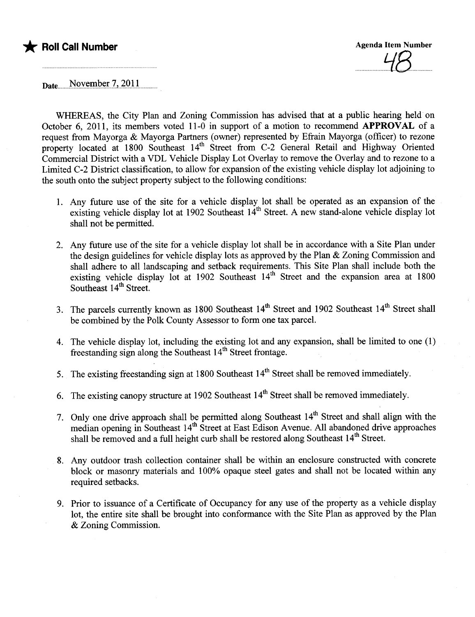

 $\iota\varphi$ 

Date<sub>u</sub>November 7, 2011

WHEREAS, the City Plan and Zoning Commission has advised that at a public hearing held on October 6, 2011, its members voted 11-0 in support of a motion to recommend APPROVAL of a request from Mayorga & Mayorga Partners (owner) represented by Efrain Mayorga (officer) to rezone property located at 1800 Southeast 14<sup>th</sup> Street from C-2 General Retail and Highway Oriented Commercial District with a VDL Vehicle Display Lot Overlay to remove the Overlay and to rezone to a Limited C-2 District classification, to allow for expansion of the existing vehicle display lot adjoining to the south onto the subject property subject to the following conditions:

- 1. Any futue use of the site for a vehicle display lot shall be operated as an expansion of the existing vehicle display lot at 1902 Southeast 14<sup>th</sup> Street. A new stand-alone vehicle display lot shall not be permitted.
- 2. Any future use of the site for a vehicle display lot shall be in accordance with a Site Plan under the design guidelines for vehicle display lots as approved by the Plan & Zoning Commission and shall adhere to all landscaping and setback requirements. This Site Plan shall include both the existing vehicle display lot at 1902 Southeast  $14<sup>th</sup>$  Street and the expansion area at 1800 Southeast 14<sup>th</sup> Street.
- 3. The parcels currently known as 1800 Southeast 14<sup>th</sup> Street and 1902 Southeast 14<sup>th</sup> Street shall be combined by the Polk County Assessor to form one tax parceL.
- 4. The vehicle display lot, including the existing lot and any expansion, shall be limited to one (1) freestanding sign along the Southeast  $14<sup>th</sup>$  Street frontage.
- 5. The existing freestanding sign at 1800 Southeast  $14<sup>th</sup>$  Street shall be removed immediately.
- 6. The existing canopy structure at 1902 Southeast  $14<sup>th</sup>$  Street shall be removed immediately.
- 7. Only one drive approach shall be permitted along Southeast  $14<sup>th</sup>$  Street and shall align with the median opening in Southeast 14th Street at East Edison Avenue. All abandoned drive approaches shall be removed and a full height curb shall be restored along Southeast 14<sup>th</sup> Street.
- 8. Any outdoor trash collection container shall be within an enclosure constructed with concrete block or masonry materials and 100% opaque steel gates and shall not be located within any required setbacks.
- 9. Prior to issuance of a Certificate of Occupancy for any use of the property as a vehicle display lot, the entire site shall be brought into conformance with the Site Plan as approved by the Plan & Zoning Commission.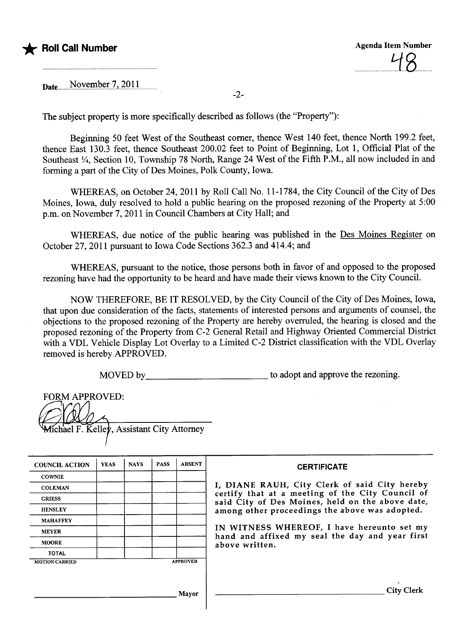

Date November 7, 2011

The subject property is more specifically described as follows (the "Property"):

Beginning 50 feet West of the Southeast comer, thence West 140 feet, thence North 199.2 feet, thence East 130.3 feet, thence Southeast 200.02 feet to Point of Beginning, Lot 1, Official Plat of the Southeast  $\frac{1}{4}$ , Section 10, Township 78 North, Range 24 West of the Fifth P.M., all now included in and forming a part of the City of Des Moines, Polk County, Iowa.

WHEREAS, on October 24,2011 by Roll Call No. 11-1784, the City Council of the City of Des Moines, Iowa, duly resolved to hold a public hearing on the proposed rezoning of the Property at 5:00 p.m. on November 7, 2011 in Council Chambers at City Hall; and

WHEREAS, due notice of the public hearing was published in the Des Moines Register on October 27,2011 pursuant to Iowa Code Sections 362.3 and 414.4; and

WHEREAS, pursuant to the notice, those persons both in favor of and opposed to the proposed rezoning have had the opportunity to be heard and have made their views known to the City CounciL.

NOW THEREFORE, BE IT RESOLVED, by the City Council of the City of Des Moines, Iowa, that upon due consideration of the facts, statements of interested persons and arguments of counsel, the objections to the proposed rezoning of the Property are hereby overrled, the hearing is closed and the proposed rezoning of the Property from C-2 General Retail and Highway Oriented Commercial District with a VDL Vehicle Display Lot Overlay to a Limited C-2 District classification with the VDL Overlay removed is hereby APPROVED.

MOVED by \_\_\_\_\_\_\_\_\_\_\_\_\_\_\_\_\_\_\_\_\_\_\_\_\_\_\_\_\_\_\_\_\_ to adopt and approve the rezoning.

| <b>FORM APPROVED:</b> |                                            |
|-----------------------|--------------------------------------------|
|                       |                                            |
|                       | Michael F. Kelley, Assistant City Attorney |

| <b>COUNCIL ACTION</b> | <b>YEAS</b> | <b>NAYS</b> | <b>PASS</b> | <b>ABSENT</b>   | <b>CERTIFICATE</b>                                                                                   |
|-----------------------|-------------|-------------|-------------|-----------------|------------------------------------------------------------------------------------------------------|
| <b>COWNIE</b>         |             |             |             |                 |                                                                                                      |
| <b>COLEMAN</b>        |             |             |             |                 | I, DIANE RAUH, City Clerk of said City hereby                                                        |
| <b>GRIESS</b>         |             |             |             |                 | certify that at a meeting of the City Council of<br>said City of Des Moines, held on the above date, |
| <b>HENSLEY</b>        |             |             |             |                 | among other proceedings the above was adopted.                                                       |
| <b>MAHAFFEY</b>       |             |             |             |                 |                                                                                                      |
| <b>MEYER</b>          |             |             |             |                 | IN WITNESS WHEREOF, I have hereunto set my<br>hand and affixed my seal the day and year first        |
| <b>MOORE</b>          |             |             |             |                 | above written.                                                                                       |
| <b>TOTAL</b>          |             |             |             |                 |                                                                                                      |
| <b>MOTION CARRIED</b> |             |             |             | <b>APPROVED</b> |                                                                                                      |
|                       |             |             |             |                 |                                                                                                      |
|                       |             |             |             |                 |                                                                                                      |
|                       |             |             |             | Mayor           |                                                                                                      |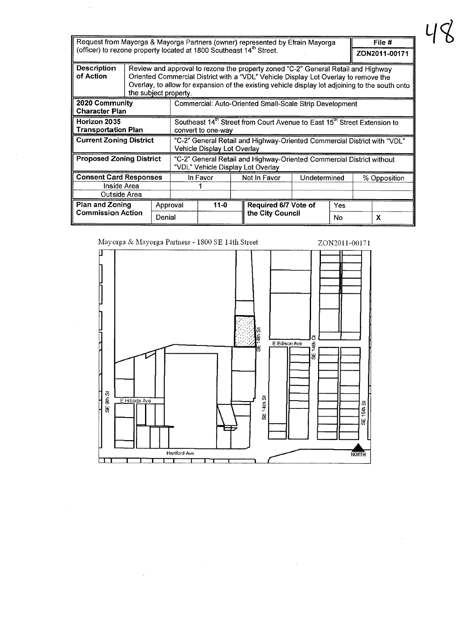| Request from Mayorga & Mayorga Partners (owner) represented by Efrain Mayorga   |  |                                                                                                                                                                                                                                                                                                      |                                                                                                            |  |  |                             | File #        |    |              |   |
|---------------------------------------------------------------------------------|--|------------------------------------------------------------------------------------------------------------------------------------------------------------------------------------------------------------------------------------------------------------------------------------------------------|------------------------------------------------------------------------------------------------------------|--|--|-----------------------------|---------------|----|--------------|---|
| (officer) to rezone property located at 1800 Southeast 14 <sup>th</sup> Street. |  |                                                                                                                                                                                                                                                                                                      |                                                                                                            |  |  |                             | ZON2011-00171 |    |              |   |
| <b>Description</b><br>of Action                                                 |  | Review and approval to rezone the property zoned "C-2" General Retail and Highway<br>Oriented Commercial District with a "VDL" Vehicle Display Lot Overlay to remove the<br>Overlay, to allow for expansion of the existing vehicle display lot adjoining to the south onto<br>the subject property. |                                                                                                            |  |  |                             |               |    |              |   |
| 2020 Community<br><b>Character Plan</b>                                         |  |                                                                                                                                                                                                                                                                                                      | Commercial: Auto-Oriented Small-Scale Strip Development                                                    |  |  |                             |               |    |              |   |
| Horizon 2035                                                                    |  |                                                                                                                                                                                                                                                                                                      | Southeast 14 <sup>th</sup> Street from Court Avenue to East 15 <sup>th</sup> Street Extension to           |  |  |                             |               |    |              |   |
| <b>Transportation Plan</b>                                                      |  |                                                                                                                                                                                                                                                                                                      | convert to one-way                                                                                         |  |  |                             |               |    |              |   |
| <b>Current Zoning District</b>                                                  |  |                                                                                                                                                                                                                                                                                                      | "C-2" General Retail and Highway-Oriented Commercial District with "VDL"<br>Vehicle Display Lot Overlay    |  |  |                             |               |    |              |   |
| <b>Proposed Zoning District</b>                                                 |  |                                                                                                                                                                                                                                                                                                      | "C-2" General Retail and Highway-Oriented Commercial District without<br>"VDL" Vehicle Display Lot Overlay |  |  |                             |               |    |              |   |
| <b>Consent Card Responses</b>                                                   |  |                                                                                                                                                                                                                                                                                                      | In Favor                                                                                                   |  |  | Not in Favor                | Undetermined  |    | % Opposition |   |
| Inside Area                                                                     |  |                                                                                                                                                                                                                                                                                                      |                                                                                                            |  |  |                             |               |    |              |   |
| Outside Area                                                                    |  |                                                                                                                                                                                                                                                                                                      |                                                                                                            |  |  |                             |               |    |              |   |
| <b>Plan and Zoning</b><br><b>Commission Action</b>                              |  | Approval                                                                                                                                                                                                                                                                                             | $11 - 0$                                                                                                   |  |  | Required 6/7 Vote of<br>Yes |               |    |              |   |
|                                                                                 |  | Denial                                                                                                                                                                                                                                                                                               |                                                                                                            |  |  | the City Council            |               | No |              | X |

48

 $\bar{\tau}$ 

 $\overline{\phantom{a}}$ 



 $\bar{z}$ 

 $\bar{z}$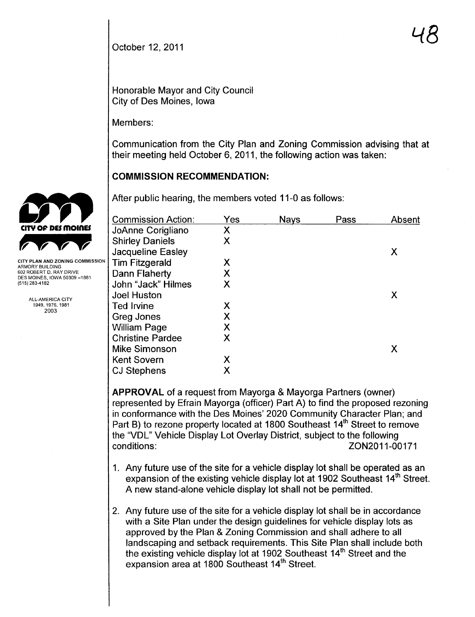October 12, 2011

Honorable Mayor and City Council City of Des Moines, Iowa

Members:

Communication from the City Plan and Zoning Commission advising that at their meeting held October 6,2011, the following action was taken:

### **COMMISSION RECOMMENDATION:**

After public hearing, the members voted 11-0 as follows:

| <b>Commission Action:</b> | Yes | <b>Nays</b> | Pass | Absent |
|---------------------------|-----|-------------|------|--------|
| JoAnne Corigliano         | Χ   |             |      |        |
| <b>Shirley Daniels</b>    | X   |             |      |        |
| Jacqueline Easley         |     |             |      | Х      |
| <b>Tim Fitzgerald</b>     | Χ   |             |      |        |
| Dann Flaherty             | Χ   |             |      |        |
| John "Jack" Hilmes        | X   |             |      |        |
| <b>Joel Huston</b>        |     |             |      | Χ      |
| <b>Ted Irvine</b>         | X   |             |      |        |
| Greg Jones                | Χ   |             |      |        |
| <b>William Page</b>       | Χ   |             |      |        |
| <b>Christine Pardee</b>   | Χ   |             |      |        |
| <b>Mike Simonson</b>      |     |             |      | Х      |
| <b>Kent Sovern</b>        | Х   |             |      |        |
| <b>CJ Stephens</b>        | Х   |             |      |        |

APPROVAL of a request from Mayorga & Mayorga Partners (owner) represented by Efrain Mayorga (officer) Part A) to find the proposed rezoning in conformance with the Des Moines' 2020 Community Character Plan; and Part B) to rezone property located at 1800 Southeast 14<sup>th</sup> Street to remove the "VDL" Vehicle Display Lot Overlay District, subject to the following conditions: ZON2011-00171

- 1. Any future use of the site for a vehicle display lot shall be operated as an expansion of the existing vehicle display lot at 1902 Southeast  $14<sup>th</sup>$  Street. A new stand-alone vehicle display lot shall not be permitted.
- 2. Any future use of the site for a vehicle display lot shall be in accordance with a Site Plan under the design guidelines for vehicle display lots as approved by the Plan & Zoning Commission and shall adhere to all landscaping and setback requirements. This Site Plan shall include both the existing vehicle display lot at 1902 Southeast 14<sup>th</sup> Street and the expansion area at 1800 Southeast 14<sup>th</sup> Street.



CITY PLAN AND ZONING COMMISSION ARMORY BUILDING 602 ROBERT D. RAY DRIVE DES MOINES, IOWA 50309 -1881 (515)283-4182

> ALL-AMERICA CITY 1949,1976,1981 2003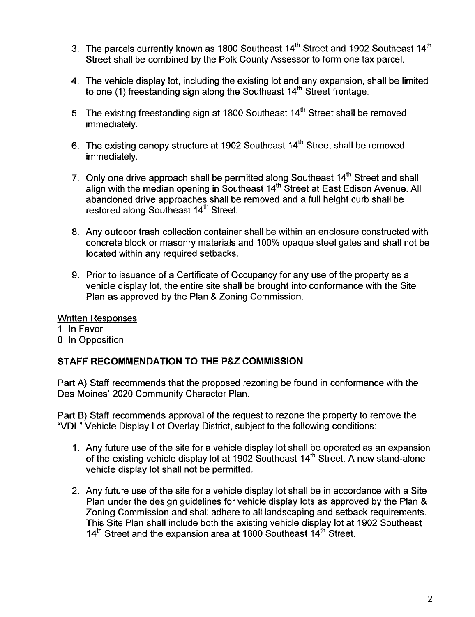- 3. The parcels currently known as 1800 Southeast  $14<sup>th</sup>$  Street and 1902 Southeast  $14<sup>th</sup>$ Street shall be combined by the Polk County Assessor to form one tax parceL.
- 4. The vehicle display lot, including the existing lot and any expansion, shall be limited to one (1) freestanding sign along the Southeast 14<sup>th</sup> Street frontage.
- 5. The existing freestanding sign at 1800 Southeast 14<sup>th</sup> Street shall be removed immediately.
- 6. The existing canopy structure at 1902 Southeast 14th Street shall be removed immediately.
- 7. Only one drive approach shall be permitted along Southeast 14<sup>th</sup> Street and shall align with the median opening in Southeast 14<sup>th</sup> Street at East Edison Avenue. All abandoned drive approaches shall be removed and a full height curb shall be restored along Southeast 14<sup>th</sup> Street.
- 8. Any outdoor trash collection container shall be within an enclosure constructed with concrete block or masonry materials and 100% opaque steel gates and shall not be located within any required setbacks.
- 9. Prior to issuance of a Certificate of Occupancy for any use of the property as a vehicle display lot, the entire site shall be brought into conformance with the Site Plan as approved by the Plan & Zoning Commission.

#### Written Responses

1 In Favor o In Opposition

# STAFF RECOMMENDATION TO THE P&Z COMMISSION

Part A) Staff recommends that the proposed rezoning be found in conformance with the Des Moines' 2020 Community Character Plan.

Part B) Staff recommends approval of the request to rezone the property to remove the "VOL" Vehicle Display Lot Overlay District, subject to the following conditions:

- 1. Any future use of the site for a vehicle display lot shall be operated as an expansion of the existing vehicle display lot at 1902 Southeast 14<sup>th</sup> Street. A new stand-alone vehicle display lot shall not be permitted.
- 2. Any future use of the site for a vehicle display lot shall be in accordance with a Site Plan under the design guidelines for vehicle display lots as approved by the Plan & Zoning Commission and shall adhere to all landscaping and setback requirements. This Site Plan shall include both the existing vehicle display lot at 1902 Southeast 14<sup>th</sup> Street and the expansion area at 1800 Southeast 14<sup>th</sup> Street.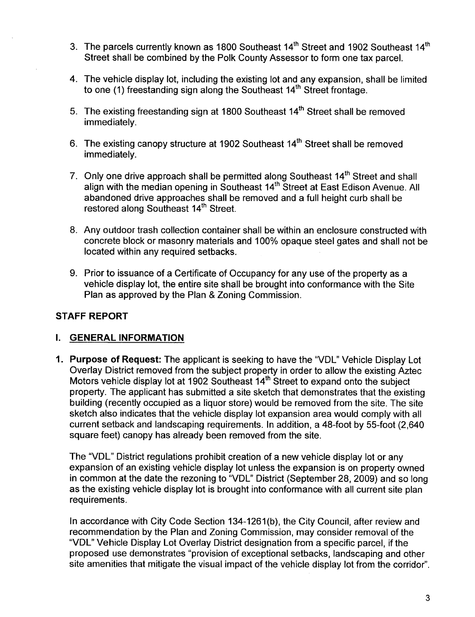- 3. The parcels currently known as 1800 Southeast 14<sup>th</sup> Street and 1902 Southeast 14<sup>th</sup> Street shall be combined by the Polk County Assessor to form one tax parceL.
- 4. The vehicle display lot, including the existing lot and any expansion, shall be limited to one (1) freestanding sign along the Southeast 14<sup>th</sup> Street frontage.
- 5. The existing freestanding sign at 1800 Southeast 14<sup>th</sup> Street shall be removed immediately.
- 6. The existing canopy structure at 1902 Southeast 14<sup>th</sup> Street shall be removed immediately.
- 7. Only one drive approach shall be permitted along Southeast 14<sup>th</sup> Street and shall align with the median opening in Southeast 14<sup>th</sup> Street at East Edison Avenue. All abandoned drive approaches shall be removed and a full height curb shall be restored along Southeast 14<sup>th</sup> Street.
- 8. Any outdoor trash collection container shall be within an enclosure constructed with concrete block or masonry materials and 100% opaque steel gates and shall not be located within any required setbacks.
- 9. Prior to issuance of a Certificate of Occupancy for any use of the property as a vehicle display lot, the entire site shall be brought into conformance with the Site Plan as approved by the Plan & Zoning Commission.

# STAFF REPORT

# I. GENERAL INFORMATION

1. Purpose of Request: The applicant is seeking to have the "VOL" Vehicle Display Lot Overlay District removed from the subject property in order to allow the existing Aztec Motors vehicle display lot at 1902 Southeast 14<sup>th</sup> Street to expand onto the subject property. The applicant has submitted a site sketch that demonstrates that the existing building (recently occupied as a liquor store) would be removed from the site. The site sketch also indicates that the vehicle display lot expansion area would comply with all current setback and landscaping requirements. In addition, a 48-foot by 55-foot (2,640 square feet) canopy has already been removed from the site.

The "VOL" District regulations prohibit creation of a new vehicle display lot or any expansion of an existing vehicle display lot unless the expansion is on property owned in common at the date the rezoning to "VOL" District (September 28, 2009) and so long as the existing vehicle display lot is brought into conformance with all current site plan requirements.

In accordance with City Code Section 134-1261(b), the City Council, after review and recommendation by the Plan and Zoning Commission, may consider removal of the "VOL" Vehicle Display Lot Overlay District designation from a specific parcel, if the proposed use demonstrates "provision of exceptional setbacks, landscaping and other site amenities that mitigate the visual impact of the vehicle display lot from the corridor".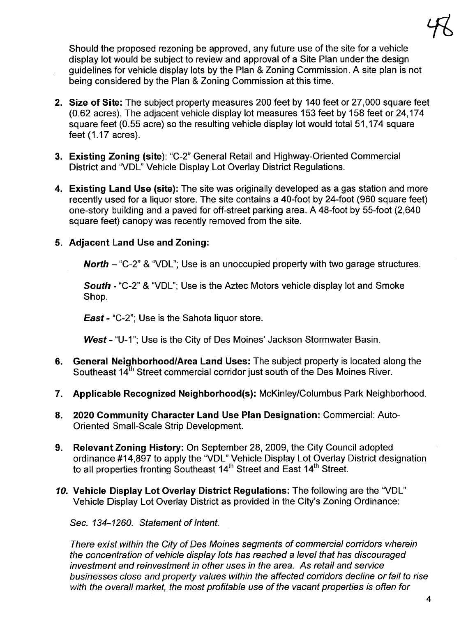Should the proposed rezoning be approved, any future use of the site for a vehicle display lot would be subject to review and approval of a Site Plan under the design guidelines for vehicle display lots by the Plan & Zoning Commission. A site plan is not being considered by the Plan & Zoning Commission at this time.

- 2. Size of Site: The subject property measures 200 feet by 140 feet or 27,000 square feet (0.62 acres). The adjacent vehicle display lot measures 153 feet by 158 feet or 24,174 square feet (0.55 acre) so the resulting vehicle display lot would total 51,174 square feet (1.17 acres).
- 3. Existing Zoning (site): "C-2" General Retail and Highway-Oriented Commercial District and "VOL" Vehicle Display Lot Overlay District Regulations.
- 4. Existing Land Use (site): The site was originally developed as a gas station and more recently used for a liquor store. The site contains a 40-foot by 24-foot (960 square feet) one-story building and a paved for off-street parking area. A 48-foot by 55-foot (2,640 square feet) canopy was recently removed from the site.

### 5. Adjacent Land Use and Zoning:

North - "C-2" & "VDL"; Use is an unoccupied property with two garage structures.

South - "C-2" & "VDL"; Use is the Aztec Motors vehicle display lot and Smoke Shop.

East - "C-2"; Use is the Sahota liquor store.

West - "U-1"; Use is the City of Des Moines' Jackson Stormwater Basin.

- 6. General Neighborhood/Area Land Uses: The subject property is located along the Southeast 14<sup>th</sup> Street commercial corridor just south of the Des Moines River.
- 7. Applicable Recognized Neighborhood(s): McKinley/Columbus Park Neighborhood.
- 8. 2020 Community Character Land Use Plan Designation: Commercial: Auto-Oriented Small-Scale Strip Development.
- 9. Relevant Zoning History: On September 28, 2009, the City Council adopted ordinance #14,897 to apply the "VOL" Vehicle Display Lot Overlay District designation to all properties fronting Southeast 14<sup>th</sup> Street and East 14<sup>th</sup> Street.
- 10. Vehicle Display Lot Overlay District Regulations: The following are the "VDL" Vehicle Display Lot Overlay District as provided in the City's Zoning Ordinance:

Sec. 134-1260. Statement of Intent.

There exist within the City of Des Moines segments of commercial corridors wherein the concentration of vehicle display lots has reached a level that has discouraged investment and reinvestment in other uses in the area. As retail and service businesses close and property values within the affected corridors decline or fail to rise with the overall market, the most profitable use of the vacant properties is often for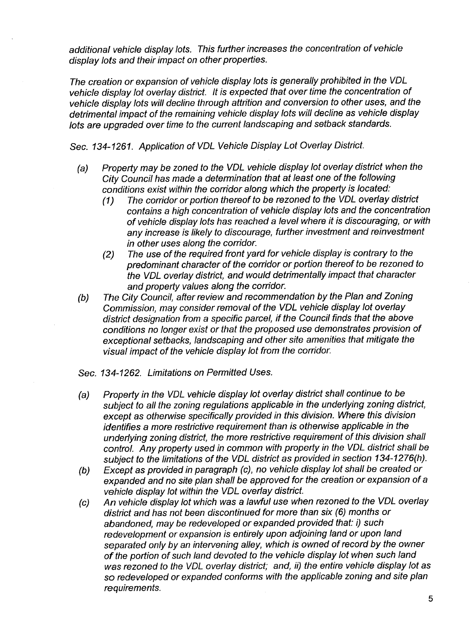additional vehicle display lots. This further increases the concentration of vehicle display lots and their impact on other properties.

The creation or expansion of vehicle display lots is generally prohibited in the VOL vehicle display lot overlay district. It is expected that over time the concentration of vehicle display lots will decline through attrition and conversion to other uses, and the detrimental impact of the remaining vehicle display lots wil decline as vehicle display lots are upgraded over time to the current landscaping and setback standards.

Sec. 134-1261. Application of VOL Vehicle Display Lot Overlay District.

- (a) Properly may be zoned to the VOL vehicle display lot overlay district when the City Council has made a determination that at least one of the following conditions exist within the corridor along which the property is located:
	- (1) The corridor or porlion thereof to be rezoned to the VOL overlay district contains a high concentration of vehicle display lots and the concentration of vehicle display lots has reached a level where it is discouraging, or with any increase is likely to discourage, further investment and reinvestment in other uses along the corridor.
	- (2) The use of the required front yard for vehicle display is contrary to the predominant character of the corridor or porlion thereof to be rezoned to the VOL overlay district, and would detrimentally impact that character and property values along the corridor.
- (b) The City Council, after review and recommendation by the Plan and Zoning Commission, may consider removal of the VOL vehicle display lot overlay district designation from a specific parcel, if the Council finds that the above conditions no longer exist or that the proposed use demonstrates provision of exceptional setbacks, landscaping and other site amenities that mitgate the visual impact of the vehicle display lot from the corridor.
- Sec. 134-1262. Limitations on Permitted Uses.
- (a) Properly in the VOL vehicle display lot overlay district shall continue to be subject to all the zoning regulations applicable in the underlying zoning district, except as otherwise specifically provided in this division. Where this division identifies a more restrictive requirement than is otherwise applicable in the underlying zoning district, the more restrictive requirement of this division shall control. Any properly used in common with property in the VOL district shall be subject to the limitations of the VOL district as provided in section 134-1276(h).
- (b) Except as provided in paragraph (c), no vehicle display lot shall be created or expanded and no site plan shall be approved for the creation or expansion of a vehicle display lot within the VOL overlay district.
- (c) An vehicle display lot which was a lawful use when rezoned to the VOL overlay district and has not been discontinued for more than six (6) months or abandoned, may be redeveloped or expanded provided that: i) such redevelopment or expansion is entirely upon adjoining land or upon land separated only by an intervening alley, which is owned of record by the owner of the portion of such land devoted to the vehicle display lot when such land was rezoned to the VOL overlay district; and, ii) the entire vehicle display lot as so redeveloped or expanded conforms with the applicable zoning and site plan requirements.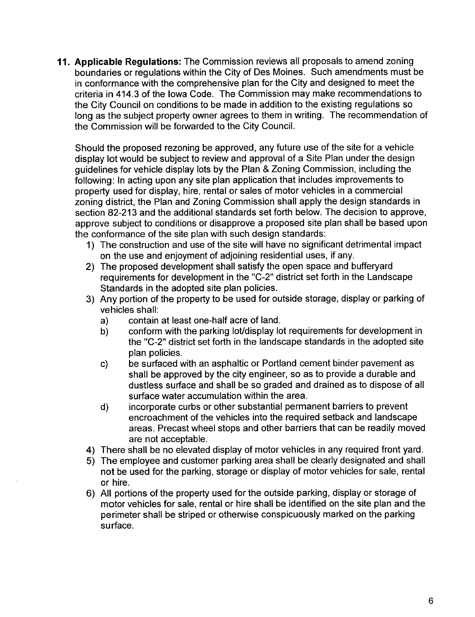11. Applicable Regulations: The Commission reviews all proposals to amend zoning boundaries or regulations within the City of Des Moines. Such amendments must be in conformance with the comprehensive plan for the City and designed to meet the criteria in 414.3 of the Iowa Code. The Commission may make recommendations to the City Council on conditions to be made in addition to the existing regulations so long as the subject property owner agrees to them in writing. The recommendation of the Commission will be forwarded to the City CounciL.

Should the proposed rezoning be approved, any future use of the site for a vehicle display lot would be subject to review and approval of a Site Plan under the design guidelines for vehicle display lots by the Plan & Zoning Commission, including the following: In acting upon any site plan application that includes improvements to property used for display, hire, rental or sales of motor vehicles in a commercial zoning district, the Plan and Zoning Commission shall apply the design standards in section 82-213 and the additional standards set forth below. The decision to approve, approve subject to conditions or disapprove a proposed site plan shall be based upon the conformance of the site plan with such design standards:

- 1) The construction and use of the site will have no significant detrimental impact on the use and enjoyment of adjoining residential uses, if any.
- 2) The proposed development shall satisfy the open space and bufferyard requirements for development in the "C-2" district set forth in the Landscape Standards in the adopted site plan policies.
- 3) Any portion of the property to be used for outside storage, display or parking of vehicles shall:
	- a) contain at least one-half acre of land.
	- b) conform with the parking lot/display lot requirements for development in the "C-2" district set forth in the landscape standards in the adopted site plan policies.
	- c) be surfaced with an asphaltic or Portland cement binder pavement as shall be approved by the city engineer, so as to provide a durable and dustless surface and shall be so graded and drained as to dispose of all surface water accumulation within the area.
	- d) incorporate curbs or other substantial permanent barriers to prevent encroachment of the vehicles into the required setback and landscape areas. Precast wheel stops and other barriers that can be readily moved are not acceptable.
- 4) There shall be no elevated display of motor vehicles in any required front yard.
- 5) The employee and customer parking area shall be clearly designated and shall not be used for the parking, storage or display of motor vehicles for sale, rental or hire.
- 6) All portions of the property used for the outside parking, display or storage of motor vehicles for sale, rental or hire shall be identified on the site plan and the perimeter shall be striped or otherwise conspicuously marked on the parking surface.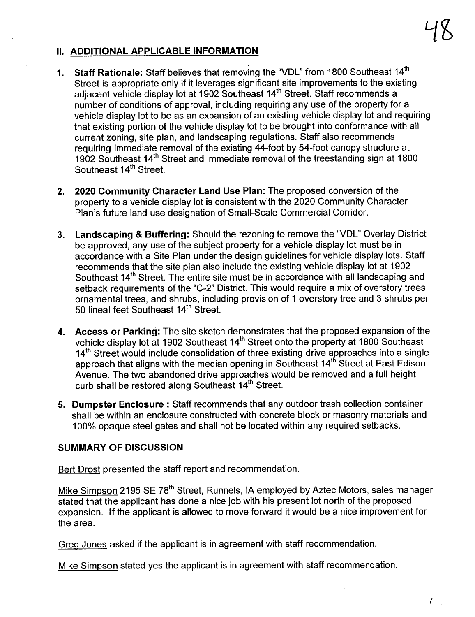# II. ADDITIONAL APPLICABLE INFORMATION

- 1. Staff Rationale: Staff believes that removing the "VDL" from 1800 Southeast 14<sup>th</sup> Street is appropriate only if it leverages significant site improvements to the existing adjacent vehicle display lot at 1902 Southeast 14<sup>th</sup> Street. Staff recommends a number of conditions of approval, including requiring any use of the property for a vehicle display lot to be as an expansion of an existing vehicle display lot and requiring that existing portion of the vehicle display lot to be brought into conformance with all current zoning, site plan, and landscaping regulations. Staff also recommends requiring immediate removal of the existing 44-foot by 54-foot canopy structure at 1902 Southeast 14<sup>th</sup> Street and immediate removal of the freestanding sign at 1800 Southeast 14<sup>th</sup> Street.
- 2. 2020 Community Character Land Use Plan: The proposed conversion of the property to a vehicle display lot is consistent with the 2020 Community Character Plan's future land use designation of Small-Scale Commercial Corridor.
- 3. Landscaping & Buffering: Should the rezoning to remove the "VOL" Overlay District be approved, any use of the subject property for a vehicle display lot must be in accordance with a Site Plan under the design guidelines for vehicle display lots. Staff recommends that the site plan also include the existing vehicle display lot at 1902 Southeast 14<sup>th</sup> Street. The entire site must be in accordance with all landscaping and setback requirements of the "C-2" District. This would require a mix of overstory trees, ornamental trees, and shrubs, including provision of 1 overstory tree and 3 shrubs per 50 lineal feet Southeast 14<sup>th</sup> Street.
- 4. Access or Parking: The site sketch demonstrates that the proposed expansion of the vehicle display lot at 1902 Southeast 14<sup>th</sup> Street onto the property at 1800 Southeast 14<sup>th</sup> Street would include consolidation of three existing drive approaches into a single approach that aligns with the median opening in Southeast 14th Street at East Edison Avenue. The two abandoned drive approaches would be removed and a full height curb shall be restored along Southeast 14<sup>th</sup> Street.
- 5. Dumpster Enclosure: Staff recommends that any outdoor trash collection container shall be within an enclosure constructed with concrete block or masonry materials and 100% opaque steel gates and shall not be located within any required setbacks.

#### SUMMARY OF DISCUSSION

Bert Drost presented the staff report and recommendation.

Mike Simpson 2195 SE 78<sup>th</sup> Street, Runnels, IA employed by Aztec Motors, sales manager stated that the applicant has done a nice job with his present lot north of the proposed expansion. If the applicant is allowed to move forward it would be a nice improvement for the area.

Greq Jones asked if the applicant is in agreement with staff recommendation.

Mike Simpson stated yes the applicant is in agreement with staff recommendation.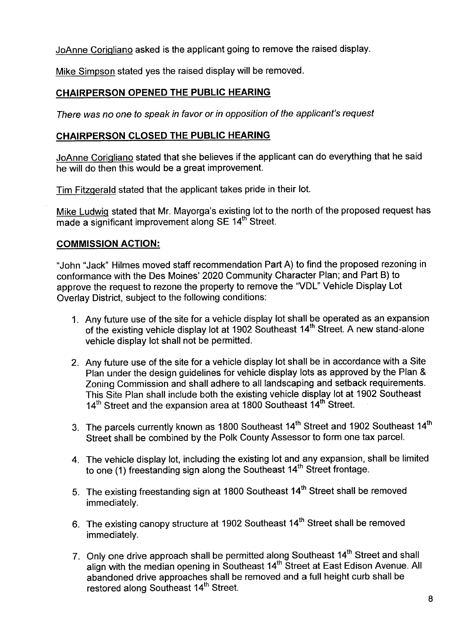JoAnne Coriqliano asked is the applicant going to remove the raised display.

Mike Simpson stated yes the raised display will be removed.

# CHAIRPERSON OPENED THE PUBLIC HEARING

There was no one to speak in favor or in opposition of the applicant's request

#### CHAIRPERSON CLOSED THE PUBLIC HEARING

JoAnne Coriqliano stated that she believes if the applicant can do everyhing that he said he will do then this would be a great improvement.

Tim Fitzqerald stated that the applicant takes pride in their lot.

Mike Ludwiq stated that Mr. Mayorga's existing lot to the north of the proposed request has  $m$ ade a significant improvement along SE 14<sup>th</sup> Street.

#### COMMISSION ACTION:

"John "Jack" Hilmes moved staff recommendation Part A) to find the proposed rezoning in conformance with the Des Moines' 2020 Community Character Plan; and Part B) to approve the request to rezone the property to remove the "VOL" Vehicle Display Lot Overlay District, subject to the following conditions:

- 1. Any future use of the site for a vehicle display lot shall be operated as an expansion of the existing vehicle display lot at 1902 Southeast 14<sup>th</sup> Street. A new stand-alone vehicle display lot shall not be permitted.
- 2. Any future use of the site for a vehicle display lot shall be in accordance with a Site Plan under the design guidelines for vehicle display lots as approved by the Plan & Zoning Commission and shall adhere to all landscaping and setback requirements. This Site Plan shall include both the existing vehicle display lot at 1902 Southeast 14<sup>th</sup> Street and the expansion area at 1800 Southeast 14<sup>th</sup> Street.
- 3. The parcels currently known as 1800 Southeast 14<sup>th</sup> Street and 1902 Southeast 14<sup>th</sup> Street shall be combined by the Polk County Assessor to form one tax parceL.
- 4. The vehicle display lot, including the existing lot and any expansion, shall be limited to one (1) freestanding sign along the Southeast 14<sup>th</sup> Street frontage.
- 5. The existing freestanding sign at 1800 Southeast 14<sup>th</sup> Street shall be removed immediately.
- 6. The existing canopy structure at 1902 Southeast 14<sup>th</sup> Street shall be removed immediately.
- 7. Only one drive approach shall be permitted along Southeast 14<sup>th</sup> Street and shall align with the median opening in Southeast 14th Street at East Edison Avenue. All abandoned drive approaches shall be removed and a full height curb shall be restored along Southeast 14<sup>th</sup> Street.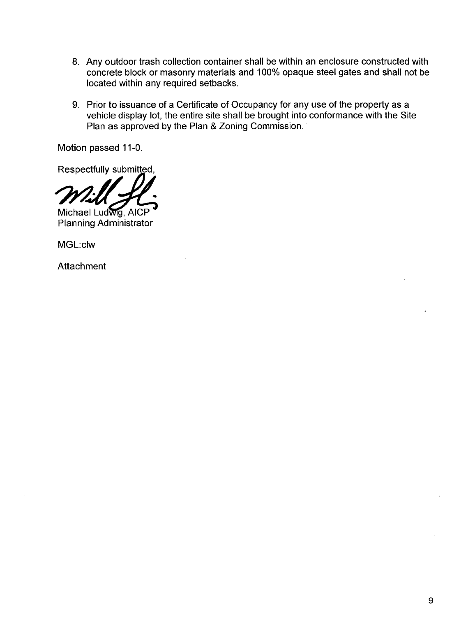- 8. Any outdoor trash collection container shall be within an enclosure constructed with concrete block or masonry materials and 100% opaque steel gates and shall not be located within any required setbacks.
- 9. Prior to issuance of a Certificate of Occupancy for any use of the property as a vehicle display lot, the entire site shall be brought into conformance with the Site Plan as approved by the Plan & Zoning Commission.

Motion passed 11-0.

Respectfully submitted,

Michael Ludwig, AICP<sup>\*</sup><br>Planning Administrator

MGL:clw

**Attachment**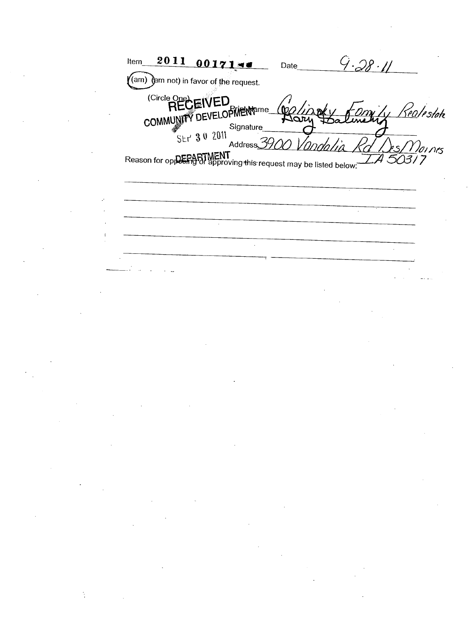2011  $00171 9.28.11$ Item Date  $($ am)  $)$ am not) in favor of the request. (Circle One)<br>RECEIVED COMMUNITY DEVELOPMENT <u>Realestak</u>  $(60)$ Aary Signature  $5kr$  30 2011 Address $\mathcal{S}$  $\mathcal{D}$ oi nes Reason for oppCPARTMENT<br>Reason for oppCCPATU approving this request may be listed below: 7